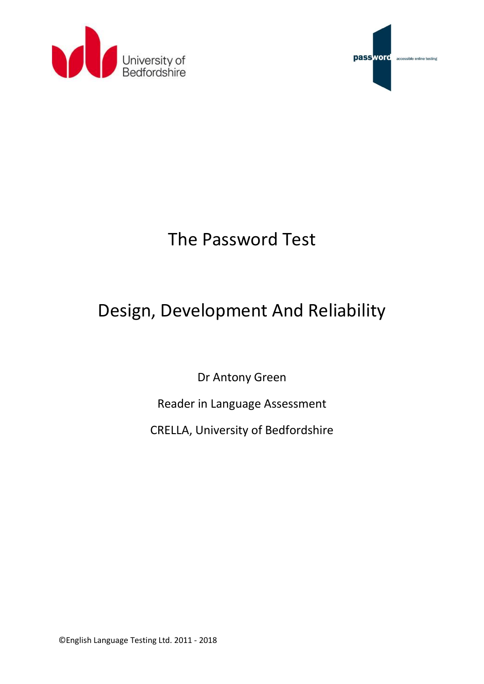



# The Password Test

## Design, Development And Reliability

Dr Antony Green

Reader in Language Assessment

CRELLA, University of Bedfordshire

©English Language Testing Ltd. 2011 - 2018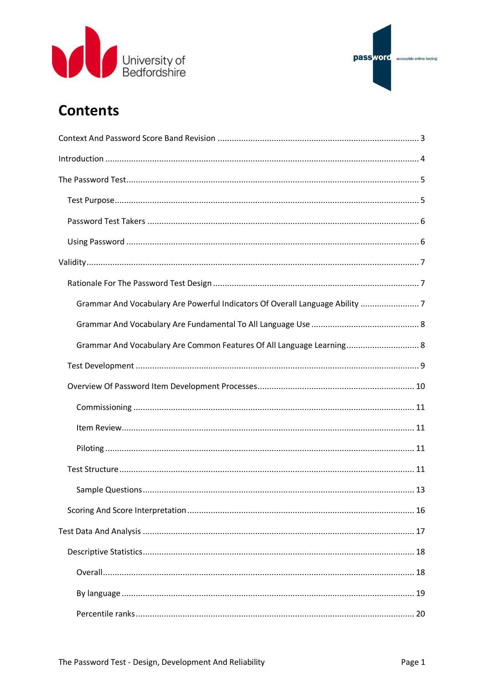



## **Contents**

| Grammar And Vocabulary Are Powerful Indicators Of Overall Language Ability  7 |  |
|-------------------------------------------------------------------------------|--|
|                                                                               |  |
| Grammar And Vocabulary Are Common Features Of All Language Learning 8         |  |
|                                                                               |  |
|                                                                               |  |
|                                                                               |  |
|                                                                               |  |
|                                                                               |  |
|                                                                               |  |
|                                                                               |  |
|                                                                               |  |
|                                                                               |  |
|                                                                               |  |
|                                                                               |  |
|                                                                               |  |
|                                                                               |  |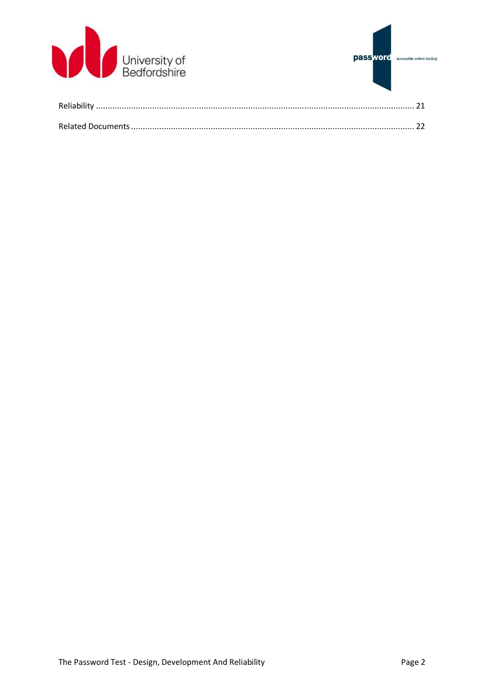

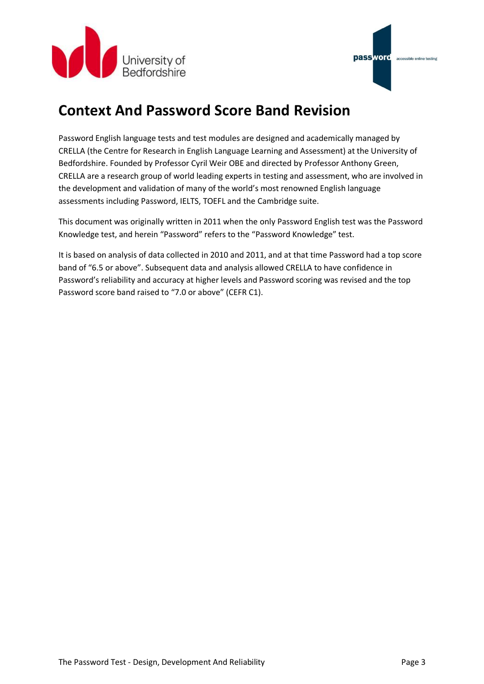



## <span id="page-3-0"></span>**Context And Password Score Band Revision**

Password English language tests and test modules are designed and academically managed by CRELLA (the Centre for Research in English Language Learning and Assessment) at the University of Bedfordshire. Founded by Professor Cyril Weir OBE and directed by Professor Anthony Green, CRELLA are a research group of world leading experts in testing and assessment, who are involved in the development and validation of many of the world's most renowned English language assessments including Password, IELTS, TOEFL and the Cambridge suite.

This document was originally written in 2011 when the only Password English test was the Password Knowledge test, and herein "Password" refers to the "Password Knowledge" test.

It is based on analysis of data collected in 2010 and 2011, and at that time Password had a top score band of "6.5 or above". Subsequent data and analysis allowed CRELLA to have confidence in Password's reliability and accuracy at higher levels and Password scoring was revised and the top Password score band raised to "7.0 or above" (CEFR C1).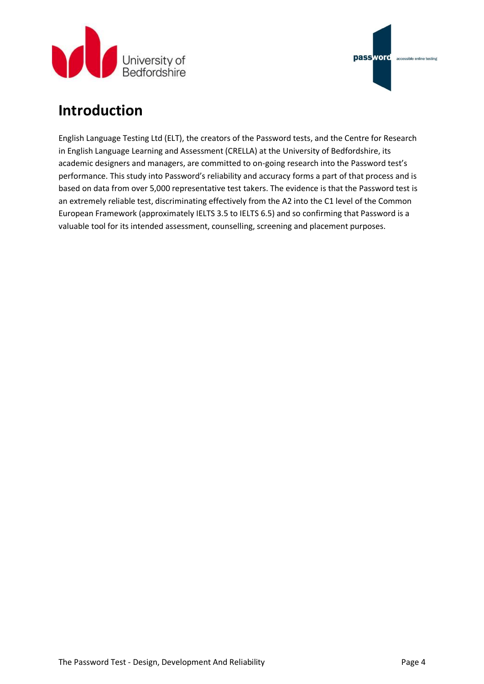



## <span id="page-4-0"></span>**Introduction**

English Language Testing Ltd (ELT), the creators of the Password tests, and the Centre for Research in English Language Learning and Assessment (CRELLA) at the University of Bedfordshire, its academic designers and managers, are committed to on-going research into the Password test's performance. This study into Password's reliability and accuracy forms a part of that process and is based on data from over 5,000 representative test takers. The evidence is that the Password test is an extremely reliable test, discriminating effectively from the A2 into the C1 level of the Common European Framework (approximately IELTS 3.5 to IELTS 6.5) and so confirming that Password is a valuable tool for its intended assessment, counselling, screening and placement purposes.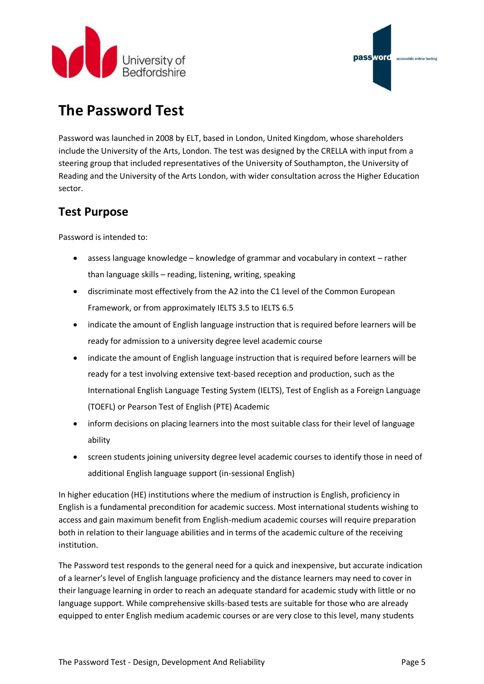



## <span id="page-5-0"></span>**The Password Test**

Password was launched in 2008 by ELT, based in London, United Kingdom, whose shareholders include the University of the Arts, London. The test was designed by the CRELLA with input from a steering group that included representatives of the University of Southampton, the University of Reading and the University of the Arts London, with wider consultation across the Higher Education sector.

### <span id="page-5-1"></span>**Test Purpose**

Password is intended to:

- assess language knowledge knowledge of grammar and vocabulary in context rather than language skills – reading, listening, writing, speaking
- discriminate most effectively from the A2 into the C1 level of the Common European Framework, or from approximately IELTS 3.5 to IELTS 6.5
- indicate the amount of English language instruction that is required before learners will be ready for admission to a university degree level academic course
- indicate the amount of English language instruction that is required before learners will be ready for a test involving extensive text-based reception and production, such as the International English Language Testing System (IELTS), Test of English as a Foreign Language (TOEFL) or Pearson Test of English (PTE) Academic
- inform decisions on placing learners into the most suitable class for their level of language ability
- screen students joining university degree level academic courses to identify those in need of additional English language support (in-sessional English)

In higher education (HE) institutions where the medium of instruction is English, proficiency in English is a fundamental precondition for academic success. Most international students wishing to access and gain maximum benefit from English-medium academic courses will require preparation both in relation to their language abilities and in terms of the academic culture of the receiving institution.

The Password test responds to the general need for a quick and inexpensive, but accurate indication of a learner's level of English language proficiency and the distance learners may need to cover in their language learning in order to reach an adequate standard for academic study with little or no language support. While comprehensive skills-based tests are suitable for those who are already equipped to enter English medium academic courses or are very close to this level, many students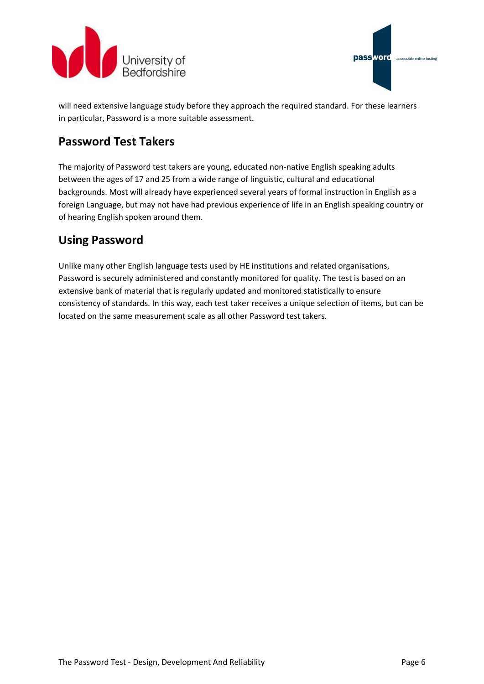



will need extensive language study before they approach the required standard. For these learners in particular, Password is a more suitable assessment.

### <span id="page-6-0"></span>**Password Test Takers**

The majority of Password test takers are young, educated non-native English speaking adults between the ages of 17 and 25 from a wide range of linguistic, cultural and educational backgrounds. Most will already have experienced several years of formal instruction in English as a foreign Language, but may not have had previous experience of life in an English speaking country or of hearing English spoken around them.

### <span id="page-6-1"></span>**Using Password**

Unlike many other English language tests used by HE institutions and related organisations, Password is securely administered and constantly monitored for quality. The test is based on an extensive bank of material that is regularly updated and monitored statistically to ensure consistency of standards. In this way, each test taker receives a unique selection of items, but can be located on the same measurement scale as all other Password test takers.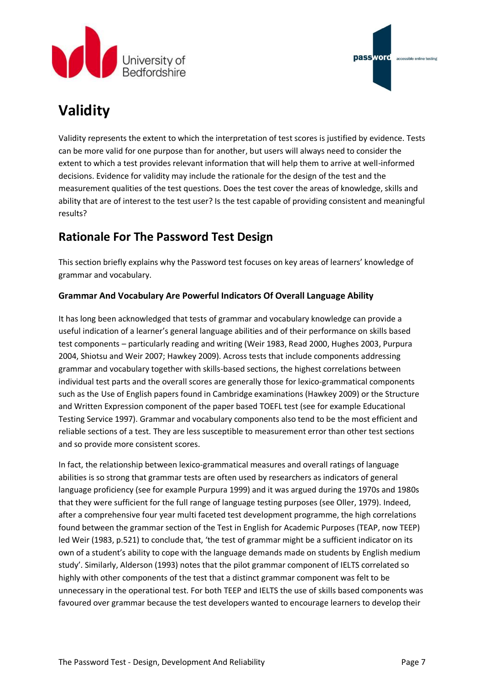



## <span id="page-7-0"></span>**Validity**

Validity represents the extent to which the interpretation of test scores is justified by evidence. Tests can be more valid for one purpose than for another, but users will always need to consider the extent to which a test provides relevant information that will help them to arrive at well-informed decisions. Evidence for validity may include the rationale for the design of the test and the measurement qualities of the test questions. Does the test cover the areas of knowledge, skills and ability that are of interest to the test user? Is the test capable of providing consistent and meaningful results?

### <span id="page-7-1"></span>**Rationale For The Password Test Design**

This section briefly explains why the Password test focuses on key areas of learners' knowledge of grammar and vocabulary.

#### <span id="page-7-2"></span>**Grammar And Vocabulary Are Powerful Indicators Of Overall Language Ability**

It has long been acknowledged that tests of grammar and vocabulary knowledge can provide a useful indication of a learner's general language abilities and of their performance on skills based test components – particularly reading and writing (Weir 1983, Read 2000, Hughes 2003, Purpura 2004, Shiotsu and Weir 2007; Hawkey 2009). Across tests that include components addressing grammar and vocabulary together with skills-based sections, the highest correlations between individual test parts and the overall scores are generally those for lexico-grammatical components such as the Use of English papers found in Cambridge examinations (Hawkey 2009) or the Structure and Written Expression component of the paper based TOEFL test (see for example Educational Testing Service 1997). Grammar and vocabulary components also tend to be the most efficient and reliable sections of a test. They are less susceptible to measurement error than other test sections and so provide more consistent scores.

In fact, the relationship between lexico-grammatical measures and overall ratings of language abilities is so strong that grammar tests are often used by researchers as indicators of general language proficiency (see for example Purpura 1999) and it was argued during the 1970s and 1980s that they were sufficient for the full range of language testing purposes (see Oller, 1979). Indeed, after a comprehensive four year multi faceted test development programme, the high correlations found between the grammar section of the Test in English for Academic Purposes (TEAP, now TEEP) led Weir (1983, p.521) to conclude that, 'the test of grammar might be a sufficient indicator on its own of a student's ability to cope with the language demands made on students by English medium study'. Similarly, Alderson (1993) notes that the pilot grammar component of IELTS correlated so highly with other components of the test that a distinct grammar component was felt to be unnecessary in the operational test. For both TEEP and IELTS the use of skills based components was favoured over grammar because the test developers wanted to encourage learners to develop their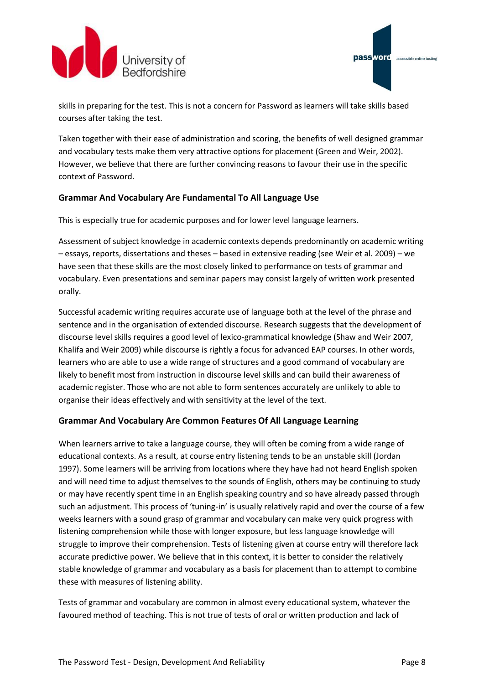



skills in preparing for the test. This is not a concern for Password as learners will take skills based courses after taking the test.

Taken together with their ease of administration and scoring, the benefits of well designed grammar and vocabulary tests make them very attractive options for placement (Green and Weir, 2002). However, we believe that there are further convincing reasons to favour their use in the specific context of Password.

#### <span id="page-8-0"></span>**Grammar And Vocabulary Are Fundamental To All Language Use**

This is especially true for academic purposes and for lower level language learners.

Assessment of subject knowledge in academic contexts depends predominantly on academic writing – essays, reports, dissertations and theses – based in extensive reading (see Weir et al. 2009) – we have seen that these skills are the most closely linked to performance on tests of grammar and vocabulary. Even presentations and seminar papers may consist largely of written work presented orally.

Successful academic writing requires accurate use of language both at the level of the phrase and sentence and in the organisation of extended discourse. Research suggests that the development of discourse level skills requires a good level of lexico-grammatical knowledge (Shaw and Weir 2007, Khalifa and Weir 2009) while discourse is rightly a focus for advanced EAP courses. In other words, learners who are able to use a wide range of structures and a good command of vocabulary are likely to benefit most from instruction in discourse level skills and can build their awareness of academic register. Those who are not able to form sentences accurately are unlikely to able to organise their ideas effectively and with sensitivity at the level of the text.

#### <span id="page-8-1"></span>**Grammar And Vocabulary Are Common Features Of All Language Learning**

When learners arrive to take a language course, they will often be coming from a wide range of educational contexts. As a result, at course entry listening tends to be an unstable skill (Jordan 1997). Some learners will be arriving from locations where they have had not heard English spoken and will need time to adjust themselves to the sounds of English, others may be continuing to study or may have recently spent time in an English speaking country and so have already passed through such an adjustment. This process of 'tuning-in' is usually relatively rapid and over the course of a few weeks learners with a sound grasp of grammar and vocabulary can make very quick progress with listening comprehension while those with longer exposure, but less language knowledge will struggle to improve their comprehension. Tests of listening given at course entry will therefore lack accurate predictive power. We believe that in this context, it is better to consider the relatively stable knowledge of grammar and vocabulary as a basis for placement than to attempt to combine these with measures of listening ability.

Tests of grammar and vocabulary are common in almost every educational system, whatever the favoured method of teaching. This is not true of tests of oral or written production and lack of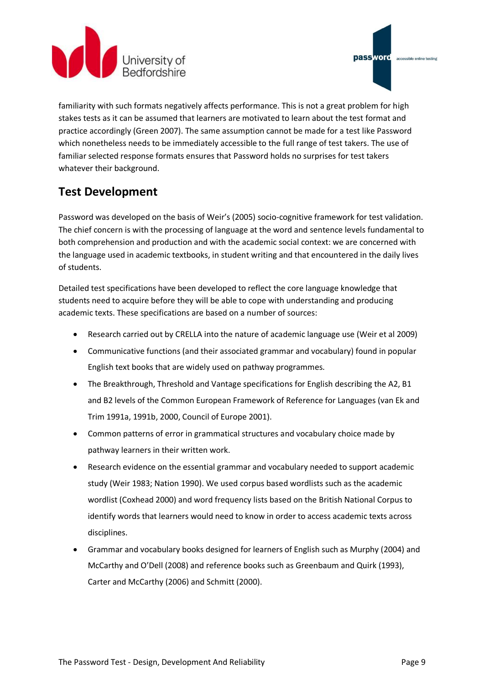



familiarity with such formats negatively affects performance. This is not a great problem for high stakes tests as it can be assumed that learners are motivated to learn about the test format and practice accordingly (Green 2007). The same assumption cannot be made for a test like Password which nonetheless needs to be immediately accessible to the full range of test takers. The use of familiar selected response formats ensures that Password holds no surprises for test takers whatever their background.

### <span id="page-9-0"></span>**Test Development**

Password was developed on the basis of Weir's (2005) socio-cognitive framework for test validation. The chief concern is with the processing of language at the word and sentence levels fundamental to both comprehension and production and with the academic social context: we are concerned with the language used in academic textbooks, in student writing and that encountered in the daily lives of students.

Detailed test specifications have been developed to reflect the core language knowledge that students need to acquire before they will be able to cope with understanding and producing academic texts. These specifications are based on a number of sources:

- Research carried out by CRELLA into the nature of academic language use (Weir et al 2009)
- Communicative functions (and their associated grammar and vocabulary) found in popular English text books that are widely used on pathway programmes.
- The Breakthrough, Threshold and Vantage specifications for English describing the A2, B1 and B2 levels of the Common European Framework of Reference for Languages (van Ek and Trim 1991a, 1991b, 2000, Council of Europe 2001).
- Common patterns of error in grammatical structures and vocabulary choice made by pathway learners in their written work.
- Research evidence on the essential grammar and vocabulary needed to support academic study (Weir 1983; Nation 1990). We used corpus based wordlists such as the academic wordlist (Coxhead 2000) and word frequency lists based on the British National Corpus to identify words that learners would need to know in order to access academic texts across disciplines.
- Grammar and vocabulary books designed for learners of English such as Murphy (2004) and McCarthy and O'Dell (2008) and reference books such as Greenbaum and Quirk (1993), Carter and McCarthy (2006) and Schmitt (2000).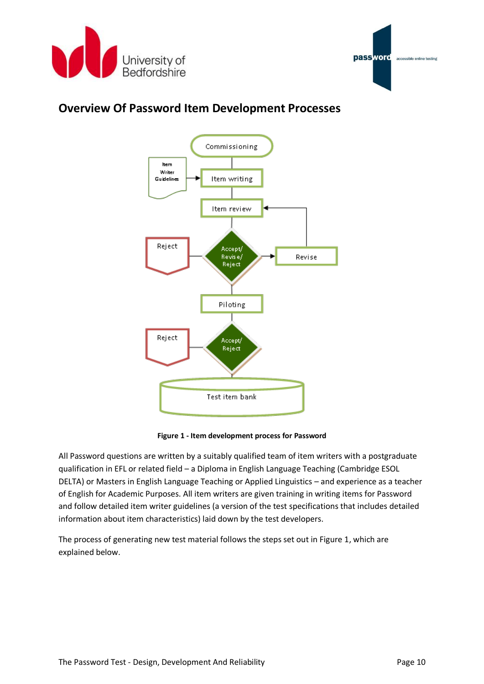



### <span id="page-10-0"></span>**Overview Of Password Item Development Processes**



**Figure 1 - Item development process for Password**

All Password questions are written by a suitably qualified team of item writers with a postgraduate qualification in EFL or related field – a Diploma in English Language Teaching (Cambridge ESOL DELTA) or Masters in English Language Teaching or Applied Linguistics – and experience as a teacher of English for Academic Purposes. All item writers are given training in writing items for Password and follow detailed item writer guidelines (a version of the test specifications that includes detailed information about item characteristics) laid down by the test developers.

The process of generating new test material follows the steps set out in Figure 1, which are explained below.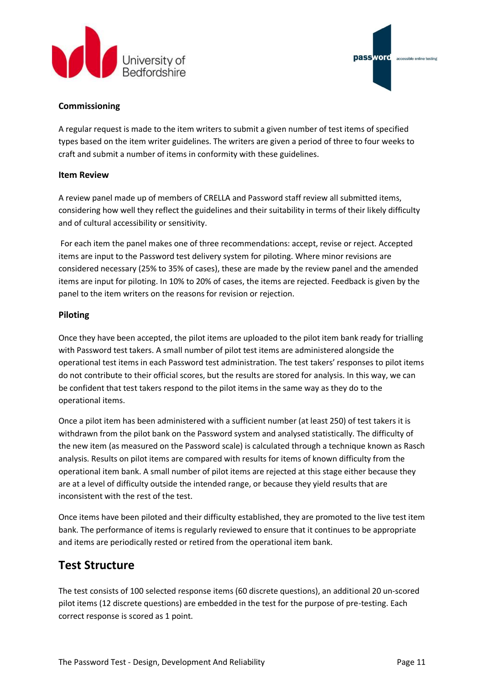



#### <span id="page-11-0"></span>**Commissioning**

A regular request is made to the item writers to submit a given number of test items of specified types based on the item writer guidelines. The writers are given a period of three to four weeks to craft and submit a number of items in conformity with these guidelines.

#### <span id="page-11-1"></span>**Item Review**

A review panel made up of members of CRELLA and Password staff review all submitted items, considering how well they reflect the guidelines and their suitability in terms of their likely difficulty and of cultural accessibility or sensitivity.

For each item the panel makes one of three recommendations: accept, revise or reject. Accepted items are input to the Password test delivery system for piloting. Where minor revisions are considered necessary (25% to 35% of cases), these are made by the review panel and the amended items are input for piloting. In 10% to 20% of cases, the items are rejected. Feedback is given by the panel to the item writers on the reasons for revision or rejection.

#### <span id="page-11-2"></span>**Piloting**

Once they have been accepted, the pilot items are uploaded to the pilot item bank ready for trialling with Password test takers. A small number of pilot test items are administered alongside the operational test items in each Password test administration. The test takers' responses to pilot items do not contribute to their official scores, but the results are stored for analysis. In this way, we can be confident that test takers respond to the pilot items in the same way as they do to the operational items.

Once a pilot item has been administered with a sufficient number (at least 250) of test takers it is withdrawn from the pilot bank on the Password system and analysed statistically. The difficulty of the new item (as measured on the Password scale) is calculated through a technique known as Rasch analysis. Results on pilot items are compared with results for items of known difficulty from the operational item bank. A small number of pilot items are rejected at this stage either because they are at a level of difficulty outside the intended range, or because they yield results that are inconsistent with the rest of the test.

Once items have been piloted and their difficulty established, they are promoted to the live test item bank. The performance of items is regularly reviewed to ensure that it continues to be appropriate and items are periodically rested or retired from the operational item bank.

### <span id="page-11-3"></span>**Test Structure**

The test consists of 100 selected response items (60 discrete questions), an additional 20 un-scored pilot items (12 discrete questions) are embedded in the test for the purpose of pre-testing. Each correct response is scored as 1 point.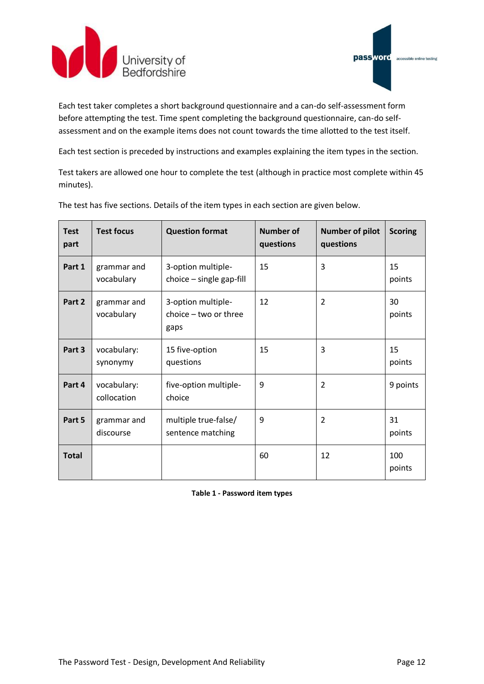



Each test taker completes a short background questionnaire and a can-do self-assessment form before attempting the test. Time spent completing the background questionnaire, can-do selfassessment and on the example items does not count towards the time allotted to the test itself.

Each test section is preceded by instructions and examples explaining the item types in the section.

Test takers are allowed one hour to complete the test (although in practice most complete within 45 minutes).

| <b>Test</b><br>part | <b>Test focus</b>          | <b>Question format</b>                                | <b>Number of</b><br>questions | <b>Number of pilot</b><br>questions | <b>Scoring</b> |
|---------------------|----------------------------|-------------------------------------------------------|-------------------------------|-------------------------------------|----------------|
| Part 1              | grammar and<br>vocabulary  | 3-option multiple-<br>choice - single gap-fill        | 15                            | 3                                   | 15<br>points   |
| Part 2              | grammar and<br>vocabulary  | 3-option multiple-<br>$choice - two or three$<br>gaps | 12                            | $\overline{2}$                      | 30<br>points   |
| Part 3              | vocabulary:<br>synonymy    | 15 five-option<br>questions                           | 15                            | 3                                   | 15<br>points   |
| Part 4              | vocabulary:<br>collocation | five-option multiple-<br>choice                       | 9                             | 2                                   | 9 points       |
| Part 5              | grammar and<br>discourse   | multiple true-false/<br>sentence matching             | 9                             | $\overline{2}$                      | 31<br>points   |
| <b>Total</b>        |                            |                                                       | 60                            | 12                                  | 100<br>points  |

The test has five sections. Details of the item types in each section are given below.

**Table 1 - Password item types**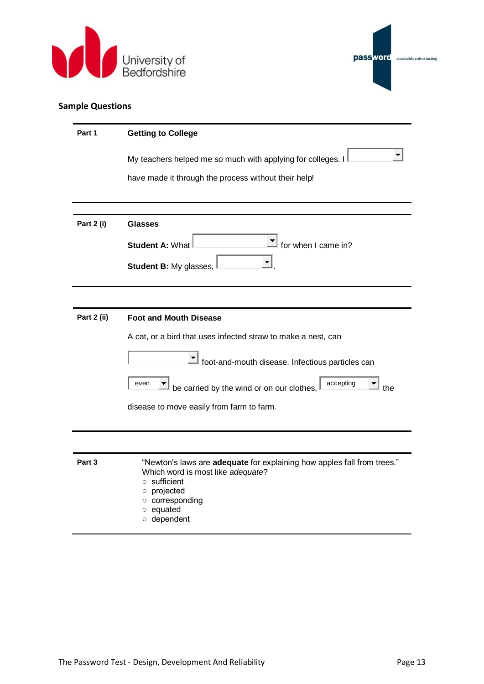



### <span id="page-13-0"></span>**Sample Questions**

| Part 1                                       | <b>Getting to College</b>                                                                                                                                                                                       |  |  |
|----------------------------------------------|-----------------------------------------------------------------------------------------------------------------------------------------------------------------------------------------------------------------|--|--|
|                                              | My teachers helped me so much with applying for colleges. I                                                                                                                                                     |  |  |
|                                              | have made it through the process without their help!                                                                                                                                                            |  |  |
|                                              |                                                                                                                                                                                                                 |  |  |
| <b>Part 2 (i)</b>                            | <b>Glasses</b>                                                                                                                                                                                                  |  |  |
|                                              | for when I came in?<br><b>Student A: What</b>                                                                                                                                                                   |  |  |
|                                              | <b>Student B: My glasses,</b>                                                                                                                                                                                   |  |  |
|                                              |                                                                                                                                                                                                                 |  |  |
| Part 2 (ii)<br><b>Foot and Mouth Disease</b> |                                                                                                                                                                                                                 |  |  |
|                                              | A cat, or a bird that uses infected straw to make a nest, can                                                                                                                                                   |  |  |
|                                              | foot-and-mouth disease. Infectious particles can                                                                                                                                                                |  |  |
|                                              | even<br>accepting<br>be carried by the wind or on our clothes,<br>the                                                                                                                                           |  |  |
|                                              | disease to move easily from farm to farm.                                                                                                                                                                       |  |  |
|                                              |                                                                                                                                                                                                                 |  |  |
| Part 3                                       | "Newton's laws are adequate for explaining how apples fall from trees."<br>Which word is most like adequate?<br>$\circ$ sufficient<br>projected<br>$\circ$<br>o corresponding<br>$\circ$ equated<br>o dependent |  |  |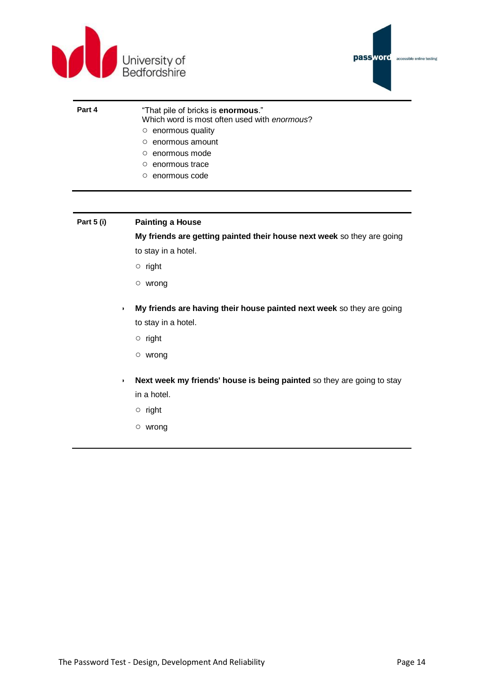



**Part 4** "That pile of bricks is **enormous**."

Which word is most often used with *enormous*?

- enormous quality
- enormous amount
- enormous mode
- enormous trace
- enormous code

#### **Part 5 (i) Painting a House**

**My friends are getting painted their house next week** so they are going to stay in a hotel.

- right
- wrong
- **My friends are having their house painted next week** so they are going to stay in a hotel.
	- right
	- wrong
- **Next week my friends' house is being painted** so they are going to stay in a hotel.
	- right
	- wrong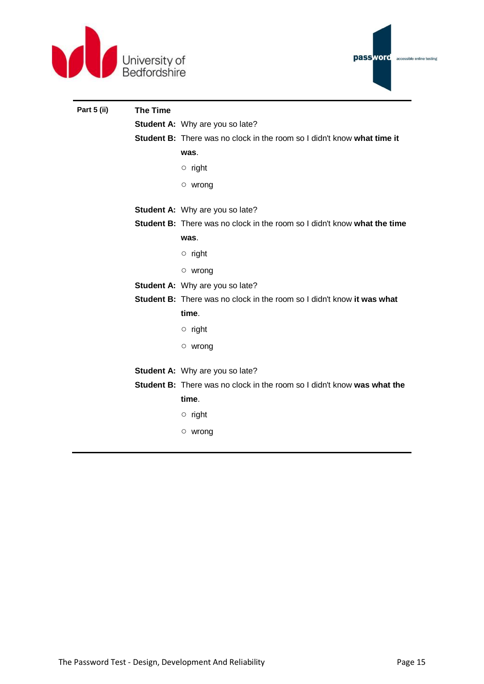



| Part 5 (ii) | <b>The Time</b> |                                                                                |
|-------------|-----------------|--------------------------------------------------------------------------------|
|             |                 | <b>Student A: Why are you so late?</b>                                         |
|             |                 | <b>Student B:</b> There was no clock in the room so I didn't know what time it |
|             |                 | was.                                                                           |
|             |                 | $\circ$ right                                                                  |
|             |                 | $\circ$ wrong                                                                  |
|             |                 | <b>Student A: Why are you so late?</b>                                         |
|             |                 | Student B: There was no clock in the room so I didn't know what the time       |
|             |                 | was.                                                                           |
|             |                 | $\circ$ right                                                                  |
|             |                 | $\circ$ wrong                                                                  |
|             |                 | <b>Student A: Why are you so late?</b>                                         |
|             |                 | <b>Student B:</b> There was no clock in the room so I didn't know it was what  |
|             |                 | time.                                                                          |
|             |                 | $\circ$ right                                                                  |
|             |                 | $\circ$ wrong                                                                  |
|             |                 | Student A: Why are you so late?                                                |
|             |                 | Student B: There was no clock in the room so I didn't know was what the        |
|             |                 | time.                                                                          |
|             |                 | $\circ$ right                                                                  |
|             |                 | $\circ$ wrong                                                                  |
|             |                 |                                                                                |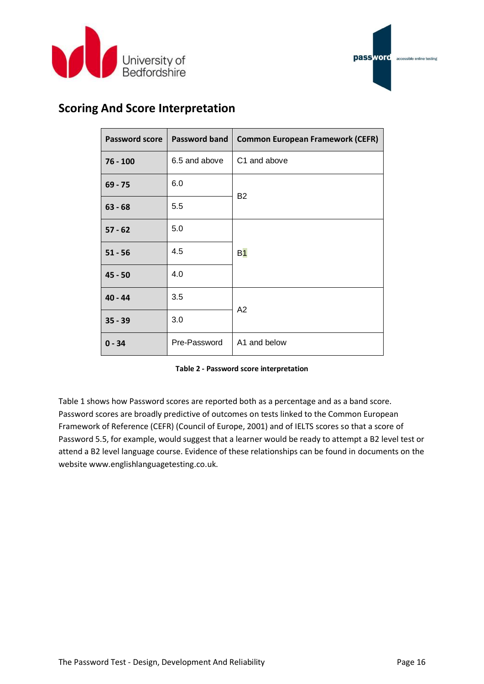



### <span id="page-16-0"></span>**Scoring And Score Interpretation**

| Password score | <b>Password band</b> | <b>Common European Framework (CEFR)</b> |
|----------------|----------------------|-----------------------------------------|
| $76 - 100$     | 6.5 and above        | C1 and above                            |
| $69 - 75$      | 6.0                  | <b>B2</b>                               |
| $63 - 68$      | 5.5                  |                                         |
| $57 - 62$      | 5.0                  |                                         |
| $51 - 56$      | 4.5                  | <b>B1</b>                               |
| $45 - 50$      | 4.0                  |                                         |
| $40 - 44$      | 3.5                  |                                         |
| $35 - 39$      | 3.0                  | A2                                      |
| $0 - 34$       | Pre-Password         | A1 and below                            |

| Table 2 - Password score interpretation |  |  |
|-----------------------------------------|--|--|
|-----------------------------------------|--|--|

Table 1 shows how Password scores are reported both as a percentage and as a band score. Password scores are broadly predictive of outcomes on tests linked to the Common European Framework of Reference (CEFR) (Council of Europe, 2001) and of IELTS scores so that a score of Password 5.5, for example, would suggest that a learner would be ready to attempt a B2 level test or attend a B2 level language course. Evidence of these relationships can be found in documents on the website www.englishlanguagetesting.co.uk.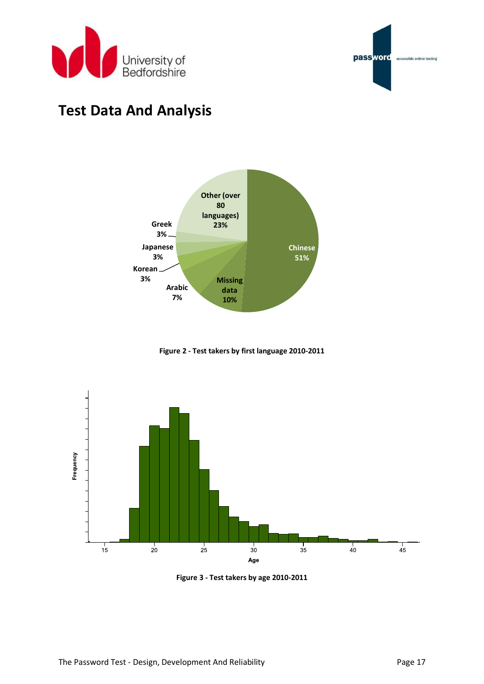



## <span id="page-17-0"></span>**Test Data And Analysis**



**Figure 2 - Test takers by first language 2010-2011**



**Figure 3 - Test takers by age 2010-2011**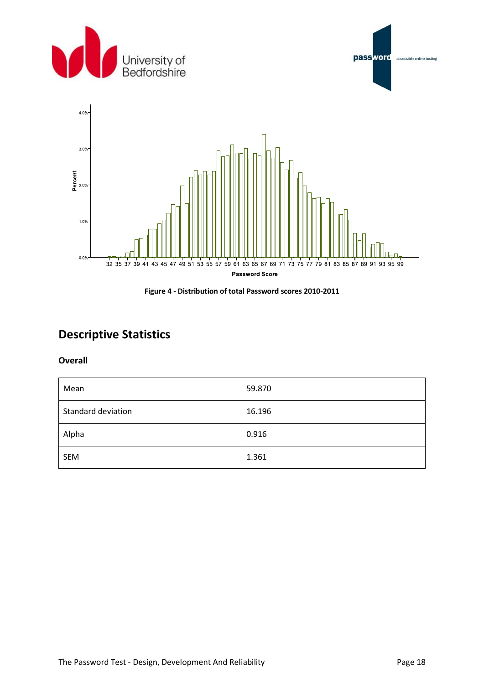







### <span id="page-18-0"></span>**Descriptive Statistics**

#### <span id="page-18-1"></span>**Overall**

| Mean                      | 59.870 |
|---------------------------|--------|
| <b>Standard deviation</b> | 16.196 |
| Alpha                     | 0.916  |
| <b>SEM</b>                | 1.361  |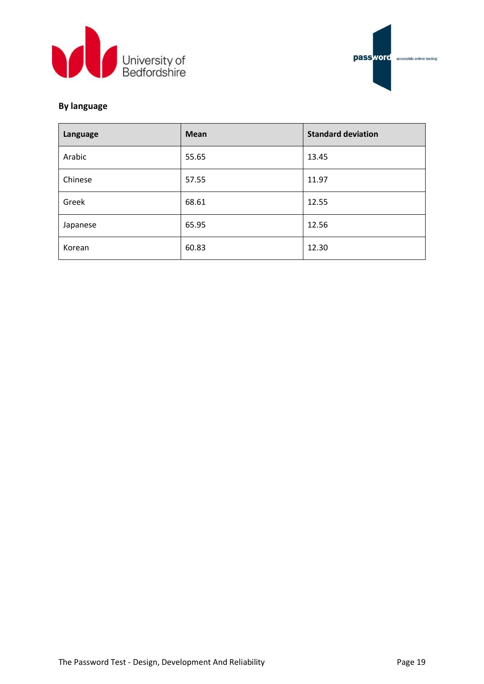



#### <span id="page-19-0"></span>**By language**

| Language | <b>Mean</b> | <b>Standard deviation</b> |
|----------|-------------|---------------------------|
| Arabic   | 55.65       | 13.45                     |
| Chinese  | 57.55       | 11.97                     |
| Greek    | 68.61       | 12.55                     |
| Japanese | 65.95       | 12.56                     |
| Korean   | 60.83       | 12.30                     |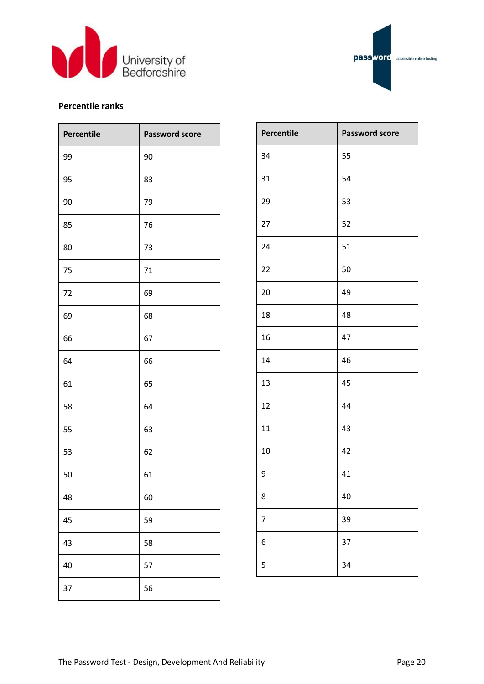



#### <span id="page-20-0"></span>**Percentile ranks**

| Percentile | <b>Password score</b> |
|------------|-----------------------|
| 99         | 90                    |
| 95         | 83                    |
| 90         | 79                    |
| 85         | 76                    |
| 80         | 73                    |
| 75         | 71                    |
| 72         | 69                    |
| 69         | 68                    |
| 66         | 67                    |
| 64         | 66                    |
| 61         | 65                    |
| 58         | 64                    |
| 55         | 63                    |
| 53         | 62                    |
| 50         | 61                    |
| 48         | 60                    |
| 45         | 59                    |
| 43         | 58                    |
| 40         | 57                    |
| 37         | 56                    |

| Percentile | <b>Password score</b> |
|------------|-----------------------|
| 34         | 55                    |
| 31         | 54                    |
| 29         | 53                    |
| 27         | 52                    |
| 24         | 51                    |
| 22         | 50                    |
| 20         | 49                    |
| 18         | 48                    |
| 16         | 47                    |
| 14         | 46                    |
| 13         | 45                    |
| 12         | 44                    |
| 11         | 43                    |
| 10         | 42                    |
| 9          | 41                    |
| 8          | 40                    |
| 7          | 39                    |
| 6          | 37                    |
| 5          | 34                    |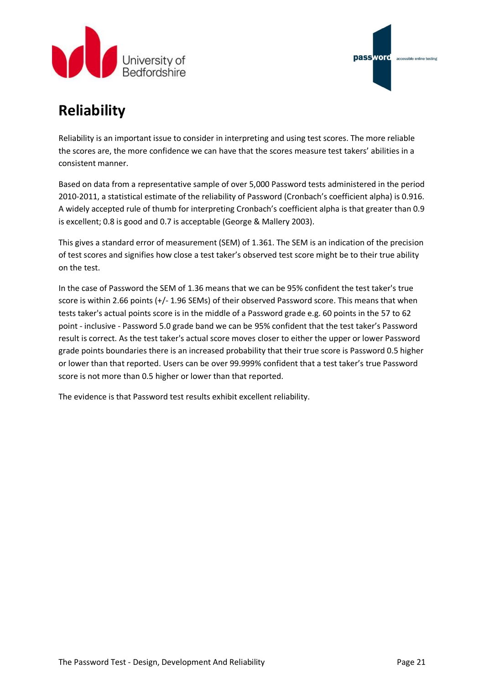



## <span id="page-21-0"></span>**Reliability**

Reliability is an important issue to consider in interpreting and using test scores. The more reliable the scores are, the more confidence we can have that the scores measure test takers' abilities in a consistent manner.

Based on data from a representative sample of over 5,000 Password tests administered in the period 2010-2011, a statistical estimate of the reliability of Password (Cronbach's coefficient alpha) is 0.916. A widely accepted rule of thumb for interpreting Cronbach's coefficient alpha is that greater than 0.9 is excellent; 0.8 is good and 0.7 is acceptable (George & Mallery 2003).

This gives a standard error of measurement (SEM) of 1.361. The SEM is an indication of the precision of test scores and signifies how close a test taker's observed test score might be to their true ability on the test.

In the case of Password the SEM of 1.36 means that we can be 95% confident the test taker's true score is within 2.66 points (+/- 1.96 SEMs) of their observed Password score. This means that when tests taker's actual points score is in the middle of a Password grade e.g. 60 points in the 57 to 62 point - inclusive - Password 5.0 grade band we can be 95% confident that the test taker's Password result is correct. As the test taker's actual score moves closer to either the upper or lower Password grade points boundaries there is an increased probability that their true score is Password 0.5 higher or lower than that reported. Users can be over 99.999% confident that a test taker's true Password score is not more than 0.5 higher or lower than that reported.

The evidence is that Password test results exhibit excellent reliability.